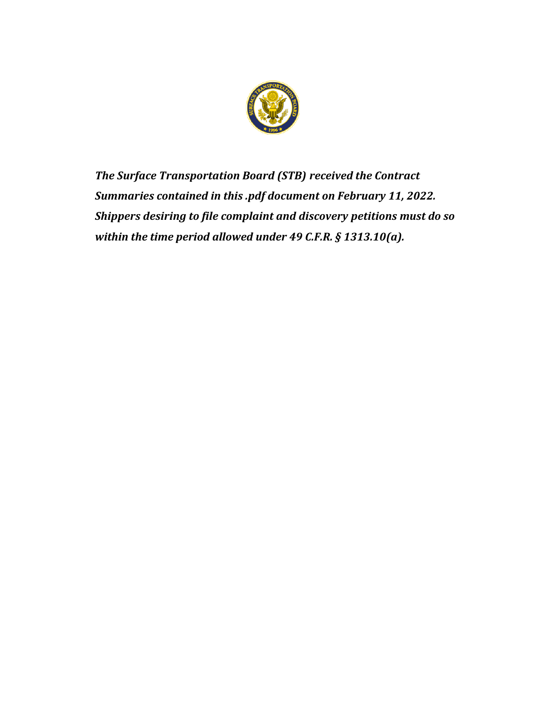

*The Surface Transportation Board (STB) received the Contract Summaries contained in this .pdf document on February 11, 2022. Shippers desiring to file complaint and discovery petitions must do so within the time period allowed under 49 C.F.R. § 1313.10(a).*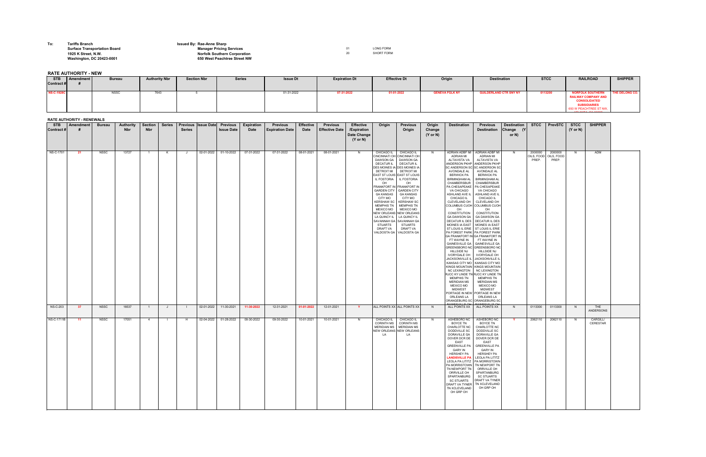## **To: Tariffs Branch Issued By: Rae-Anne Sharp**

## **Surface Transportation Board Manager Pricing Services Manager Pricing Services Manager Pricing Services 01** LONG FORM **1925 K Street, N.W.** SHORT FORM **Norfolk Southern Corporation** 20 20 SHORT FORM **Washington, DC 20423-0001 650 West Peachtree Street NW**

**RATE AUTHORITY - NEW**

## **RATE AUTHORITY - RENEWALS**

|                          | <b>KAIL AUIHURIIY - KENEWALS</b> |               |                                |                              |               |               |                                                       |                           |                                           |                                 |                                          |                                                                              |                                                                                                                                                                                                                                                                                                                                                                                                                                                                                            |                                                                                                                                                                          |                                         |                                                                                                                                                                                                                                                                                                                                                                                                                                                                                                                                                                                                                                                                                                                                                                                                                                                                                                                                                                                                                        |                                                                                                                                                                                                                                                                                                                                                                                                                                                           |                                          |                                |                                |                                    |                      |  |
|--------------------------|----------------------------------|---------------|--------------------------------|------------------------------|---------------|---------------|-------------------------------------------------------|---------------------------|-------------------------------------------|---------------------------------|------------------------------------------|------------------------------------------------------------------------------|--------------------------------------------------------------------------------------------------------------------------------------------------------------------------------------------------------------------------------------------------------------------------------------------------------------------------------------------------------------------------------------------------------------------------------------------------------------------------------------------|--------------------------------------------------------------------------------------------------------------------------------------------------------------------------|-----------------------------------------|------------------------------------------------------------------------------------------------------------------------------------------------------------------------------------------------------------------------------------------------------------------------------------------------------------------------------------------------------------------------------------------------------------------------------------------------------------------------------------------------------------------------------------------------------------------------------------------------------------------------------------------------------------------------------------------------------------------------------------------------------------------------------------------------------------------------------------------------------------------------------------------------------------------------------------------------------------------------------------------------------------------------|-----------------------------------------------------------------------------------------------------------------------------------------------------------------------------------------------------------------------------------------------------------------------------------------------------------------------------------------------------------------------------------------------------------------------------------------------------------|------------------------------------------|--------------------------------|--------------------------------|------------------------------------|----------------------|--|
| <b>STB</b><br>Contract # | Amendment                        | <b>Bureau</b> | <b>Authority</b><br><b>Nbr</b> | <b>Section</b><br><b>Nbr</b> | <b>Series</b> | <b>Series</b> | Previous   Issue Date   Previous<br><b>Issue Date</b> | <b>Expiration</b><br>Date | <b>Previous</b><br><b>Expiration Date</b> | <b>Effective</b><br><b>Date</b> | <b>Previous</b><br><b>Effective Date</b> | <b>Effective</b><br>/Expiration<br><b>Date Change</b><br>$(Y \text{ or } N)$ | Origin                                                                                                                                                                                                                                                                                                                                                                                                                                                                                     | <b>Previous</b><br>Origin                                                                                                                                                | Origin<br>Change<br>$(Y \text{ or } N)$ | <b>Destination</b>                                                                                                                                                                                                                                                                                                                                                                                                                                                                                                                                                                                                                                                                                                                                                                                                                                                                                                                                                                                                     | <b>Previous</b><br><b>Destination</b>                                                                                                                                                                                                                                                                                                                                                                                                                     | <b>Destination</b><br>Change (Y<br>or N) | <b>STCC</b>                    | <b>PrevSTC</b>                 | <b>STCC</b><br>$(Y \text{ or } N)$ | <b>SHIPPER</b>       |  |
| NS-C-1701                | - 21                             | NSSC          | 13727                          |                              | K.            | ل -           | 02-01-2022<br>01-10-2022                              | 07-31-2022                | 07-31-2022                                | 08-01-2021                      | 08-01-2021                               | N                                                                            | CHICAGO IL   CHICAGO IL<br>CINCINNATI OH CINCINNATI OI<br>DAWSON GA   DAWSON GA<br>DECATUR IL   DECATUR IL<br>DES MOINES IA DES MOINES IA<br>DETROIT MI DETROIT MI<br>EAST ST LOUIS EAST ST LOUIS<br>IL FOSTORIA<br>OH<br>FRANKFORT IN FRANKFORT IN<br><b>GARDEN CITY</b><br><b>GA KANSAS</b><br><b>CITY MO</b><br><b>MEMPHIS TN</b><br>MEXICO MO  <br>NEW ORLEANS NEW ORLEANS<br>LA QUINCY IL   LA QUINCY IL<br>SAVANNAH GA SAVANNAH GA<br>STUARTS<br>DRAFT VA<br>VALDOSTA GA VALDOSTA GA | IL FOSTORIA<br>OH<br><b>GARDEN CITY</b><br><b>GA KANSAS</b><br><b>CITY MO</b><br>KERSHAW SC   KERSHAW SC<br><b>MEMPHIS TN</b><br><b>MEXICO MO</b><br>STUARTS<br>DRAFT VA | N.                                      | ADRIAN ADBF MI<br><b>ADRIAN MI</b><br>ALTAVISTA VA<br>ANDERSON PKHP ANDERSON PKHP<br>SC ANDERSON SC SC ANDERSON SC<br><b>AVONDALE AL</b><br><b>BERWICK PA</b><br><b>BIRMINGHAM AL</b><br>CHAMBERSBUR<br>PA CHESAPEAKE   PA CHESAPEAKE<br>VA CHICAGO<br>ASHLAND AVE IL<br><b>CHICAGO IL</b><br>CLEVELAND OH   CLEVELAND OH<br>COLUMBUS CUOH COLUMBUS CUOH<br>OH<br>CONSTITUTION<br>GA DAWSON GA GA DAWSON GA<br>DECATUR IL DES   DECATUR IL DES<br>MOINES IA EAST   MOINES IA EAST<br>ST LOUIS IL ERIE   ST LOUIS IL ERIE<br>PA FOREST PARK PA FOREST PARK<br>GA FRANKFORT IN GA FRANKFORT IN<br>FT WAYNE IN<br>GAINESVILLE GA   GAINESVILLE GA<br><b>HILLSIDE NJ</b><br><b>IVORYDALE OH</b><br>JACKSONVILLE IL JACKSONVILLE II<br>KANSAS CITY MO   KANSAS CITY MO<br>KINGS MOUNTAIN   KINGS MOUNTAIN<br>NC LEXINGTON   NC LEXINGTON<br><b>MEMPHIS TN</b><br>MERIDIAN MS<br><b>MEXICO MO</b><br>MIDWEST<br>PORTAGE IN NEW PORTAGE IN NEW<br><b>ORLEANS LA</b><br>ORANGEBURG SC ORANGEBURG SC<br>$\lambda$ INICOVILLE OL | <b>ADRIAN ADBF MI</b><br>ADRIAN MI<br>ALTAVISTA VA<br><b>AVONDALE AL</b><br><b>BERWICK PA</b><br><b>BIRMINGHAM AL</b><br>CHAMBERSBUR<br>VA CHICAGO<br>ASHLAND AVE II<br>CHICAGO IL<br>OH<br>CONSTITUTION<br>FT WAYNE IN<br>GREENSBORO NC GREENSBORO NC<br>HILLSIDE NJ<br><b>IVORYDALE OH</b><br>RJCC KY LINDE TN RJCC KY LINDE TN<br><b>MEMPHIS TN</b><br><b>MERIDIAN MS</b><br><b>MEXICO MO</b><br><b>MIDWEST</b><br>ORLEANS LA<br><b>DAINICOULLE OL</b> | N.                                       | 2000000<br>OILS, FOOD<br>PREP. | 2000000<br>OILS, FOOD<br>PREP. | N                                  | ADM                  |  |
| <b>NS-C-203</b>          | - 37                             | <b>NSSC</b>   | 16537                          |                              |               |               | $02-01-2022$<br>11-30-2021                            | 11-30-2022                | 12-31-2021                                | 01-01-2022                      | 12-01-2021                               | <b>Y</b>                                                                     | ALL POINTS XX ALL POINTS XX                                                                                                                                                                                                                                                                                                                                                                                                                                                                |                                                                                                                                                                          | N.                                      | ALL POINTS XX ALL POINTS XX                                                                                                                                                                                                                                                                                                                                                                                                                                                                                                                                                                                                                                                                                                                                                                                                                                                                                                                                                                                            |                                                                                                                                                                                                                                                                                                                                                                                                                                                           | N.                                       | 0113300                        | 0113300                        | N                                  | THE<br>ANDERSONS     |  |
| NS-C-1711B               | 11                               | NSSC          | 17051                          | 4                            |               | H             | 02-04-2022 01-28-2022                                 | 09-30-2022                | 09-30-2022                                | 10-01-2021                      | 10-01-2021                               | N.                                                                           | CHICAGO IL CHICAGO IL<br>CORINTH MS CORINTH MS<br>MERIDIAN MS   MERIDIAN MS<br>NEW ORLEANS NEW ORLEANS<br>LA                                                                                                                                                                                                                                                                                                                                                                               | LA                                                                                                                                                                       | N.                                      | <b>BOYCE TN</b><br>DODDVILLE SC<br><b>DORAVILLE GA</b><br>DOVER DCR DE DOVER DCR DE<br><b>EAST</b><br><b>GARY IN</b><br><b>HERSHEY PA</b><br>PA MORRISTOWN   TN NEWPORT TN<br>TN NEWPORT TN   ORRVILLE OH<br>ORRVILLE OH<br>SPARTANBURG<br>DRAFT VA TYNER   TN XCLEVELAND<br>TN XCLEVELAND<br>OH GRP OH                                                                                                                                                                                                                                                                                                                                                                                                                                                                                                                                                                                                                                                                                                                | ASHEBORO NC ASHEBORO NC<br><b>BOYCE TN</b><br>CHARLOTTE NC   CHARLOTTE NC<br>DODDVILLE SC<br>DORAVILLE GA<br>EAST<br>GREENVILLE PA   GREENVILLE PA<br><b>GARY IN</b><br><b>HERSHEY PA</b><br><b>LANDISVILLE PA   LEOLA PA LITITZ</b><br>LEOLA PA LITITZ   PA MORRISTOWN<br>SPARTANBURG<br><b>SC STUARTS</b><br>SC STUARTS   DRAFT VA TYNER<br>OH GRP OH                                                                                                   |                                          | 2062110                        | 2062110                        | N                                  | CARGILL/<br>CERESTAR |  |

| <b>STB</b>        | Amendment | <b>Bureau</b> | <b>Authority Nbr</b> | <b>Section Nbr</b> | <b>Series</b> | <b>Issue Dt</b> | <b>Expiration Dt</b> | <b>Effective Dt</b> | Origin                | <b>Destination</b>            | <b>STCC</b> | <b>RAILROAD</b>                                                                                                                   | <b>SHIPPER</b> |
|-------------------|-----------|---------------|----------------------|--------------------|---------------|-----------------|----------------------|---------------------|-----------------------|-------------------------------|-------------|-----------------------------------------------------------------------------------------------------------------------------------|----------------|
| <b>Contract#</b>  |           |               |                      |                    |               |                 |                      |                     |                       |                               |             |                                                                                                                                   |                |
| <b>NS-C-1928C</b> |           | <b>NSSC</b>   | 7643                 |                    |               | 01-31-2022      | 07-31-2022           | 01-01-2022          | <b>GENEVA FGLK NY</b> | <b>GUILDERLAND CTR SNY NY</b> | 0113200     | <b>NORFOLK SOUTHER</b><br><b>RAILWAY COMPANY AND</b><br><b>CONSOLIDATED</b><br><b>SUBSIDIARIES</b><br>650 W PEACHTREE ST NW,<br>. | THE DELONG CO. |